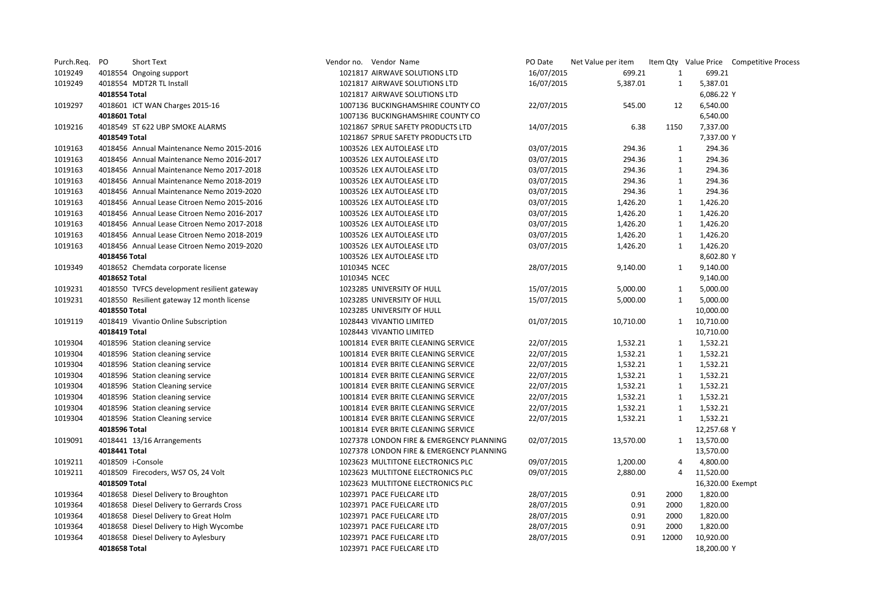| Purch.Req. | PO            | Short Text                                  |              | Vendor no. Vendor Name                   | PO Date    | Net Value per item |              |                  | Item Qty Value Price Competitive Process |
|------------|---------------|---------------------------------------------|--------------|------------------------------------------|------------|--------------------|--------------|------------------|------------------------------------------|
| 1019249    |               | 4018554 Ongoing support                     |              | 1021817 AIRWAVE SOLUTIONS LTD            | 16/07/2015 | 699.21             | $\mathbf{1}$ | 699.21           |                                          |
| 1019249    |               | 4018554 MDT2R TL Install                    |              | 1021817 AIRWAVE SOLUTIONS LTD            | 16/07/2015 | 5,387.01           | 1            | 5,387.01         |                                          |
|            | 4018554 Total |                                             |              | 1021817 AIRWAVE SOLUTIONS LTD            |            |                    |              | 6,086.22 Y       |                                          |
| 1019297    |               | 4018601 ICT WAN Charges 2015-16             |              | 1007136 BUCKINGHAMSHIRE COUNTY CO        | 22/07/2015 | 545.00             | 12           | 6,540.00         |                                          |
|            | 4018601 Total |                                             |              | 1007136 BUCKINGHAMSHIRE COUNTY CO        |            |                    |              | 6,540.00         |                                          |
| 1019216    |               | 4018549 ST 622 UBP SMOKE ALARMS             |              | 1021867 SPRUE SAFETY PRODUCTS LTD        | 14/07/2015 | 6.38               | 1150         | 7,337.00         |                                          |
|            | 4018549 Total |                                             |              | 1021867 SPRUE SAFETY PRODUCTS LTD        |            |                    |              | 7,337.00 Y       |                                          |
| 1019163    |               | 4018456 Annual Maintenance Nemo 2015-2016   |              | 1003526 LEX AUTOLEASE LTD                | 03/07/2015 | 294.36             | $\mathbf{1}$ | 294.36           |                                          |
| 1019163    |               | 4018456 Annual Maintenance Nemo 2016-2017   |              | 1003526 LEX AUTOLEASE LTD                | 03/07/2015 | 294.36             | $\mathbf{1}$ | 294.36           |                                          |
| 1019163    |               | 4018456 Annual Maintenance Nemo 2017-2018   |              | 1003526 LEX AUTOLEASE LTD                | 03/07/2015 | 294.36             | 1            | 294.36           |                                          |
| 1019163    |               | 4018456 Annual Maintenance Nemo 2018-2019   |              | 1003526 LEX AUTOLEASE LTD                | 03/07/2015 | 294.36             | 1            | 294.36           |                                          |
| 1019163    |               | 4018456 Annual Maintenance Nemo 2019-2020   |              | 1003526 LEX AUTOLEASE LTD                | 03/07/2015 | 294.36             | 1            | 294.36           |                                          |
| 1019163    |               | 4018456 Annual Lease Citroen Nemo 2015-2016 |              | 1003526 LEX AUTOLEASE LTD                | 03/07/2015 | 1,426.20           | $\mathbf{1}$ | 1,426.20         |                                          |
| 1019163    |               | 4018456 Annual Lease Citroen Nemo 2016-2017 |              | 1003526 LEX AUTOLEASE LTD                | 03/07/2015 | 1,426.20           | $\mathbf{1}$ | 1,426.20         |                                          |
| 1019163    |               | 4018456 Annual Lease Citroen Nemo 2017-2018 |              | 1003526 LEX AUTOLEASE LTD                | 03/07/2015 | 1,426.20           | $\mathbf{1}$ | 1,426.20         |                                          |
| 1019163    |               | 4018456 Annual Lease Citroen Nemo 2018-2019 |              | 1003526 LEX AUTOLEASE LTD                | 03/07/2015 | 1,426.20           | 1            | 1,426.20         |                                          |
| 1019163    |               | 4018456 Annual Lease Citroen Nemo 2019-2020 |              | 1003526 LEX AUTOLEASE LTD                | 03/07/2015 | 1,426.20           | 1            | 1,426.20         |                                          |
|            | 4018456 Total |                                             |              | 1003526 LEX AUTOLEASE LTD                |            |                    |              | 8,602.80 Y       |                                          |
| 1019349    |               | 4018652 Chemdata corporate license          | 1010345 NCEC |                                          | 28/07/2015 | 9,140.00           | 1            | 9,140.00         |                                          |
|            | 4018652 Total |                                             | 1010345 NCEC |                                          |            |                    |              | 9,140.00         |                                          |
| 1019231    |               | 4018550 TVFCS development resilient gateway |              | 1023285 UNIVERSITY OF HULL               | 15/07/2015 | 5,000.00           | $\mathbf{1}$ | 5,000.00         |                                          |
| 1019231    |               | 4018550 Resilient gateway 12 month license  |              | 1023285 UNIVERSITY OF HULL               | 15/07/2015 | 5,000.00           | 1            | 5,000.00         |                                          |
|            | 4018550 Total |                                             |              | 1023285 UNIVERSITY OF HULL               |            |                    |              | 10,000.00        |                                          |
| 1019119    |               | 4018419 Vivantio Online Subscription        |              | 1028443 VIVANTIO LIMITED                 | 01/07/2015 | 10,710.00          | 1            | 10,710.00        |                                          |
|            | 4018419 Total |                                             |              | 1028443 VIVANTIO LIMITED                 |            |                    |              | 10,710.00        |                                          |
| 1019304    |               | 4018596 Station cleaning service            |              | 1001814 EVER BRITE CLEANING SERVICE      | 22/07/2015 | 1,532.21           | 1            | 1,532.21         |                                          |
| 1019304    |               | 4018596 Station cleaning service            |              | 1001814 EVER BRITE CLEANING SERVICE      | 22/07/2015 | 1,532.21           | 1            | 1,532.21         |                                          |
| 1019304    |               | 4018596 Station cleaning service            |              | 1001814 EVER BRITE CLEANING SERVICE      | 22/07/2015 | 1,532.21           | 1            | 1,532.21         |                                          |
| 1019304    |               | 4018596 Station cleaning service            |              | 1001814 EVER BRITE CLEANING SERVICE      | 22/07/2015 | 1,532.21           | $\mathbf{1}$ | 1,532.21         |                                          |
| 1019304    |               | 4018596 Station Cleaning service            |              | 1001814 EVER BRITE CLEANING SERVICE      | 22/07/2015 | 1,532.21           | 1            | 1,532.21         |                                          |
| 1019304    |               | 4018596 Station cleaning service            |              | 1001814 EVER BRITE CLEANING SERVICE      | 22/07/2015 | 1,532.21           | 1            | 1,532.21         |                                          |
| 1019304    |               | 4018596 Station cleaning service            |              | 1001814 EVER BRITE CLEANING SERVICE      | 22/07/2015 | 1,532.21           | $\mathbf{1}$ | 1,532.21         |                                          |
| 1019304    |               | 4018596 Station Cleaning service            |              | 1001814 EVER BRITE CLEANING SERVICE      | 22/07/2015 | 1,532.21           | 1            | 1,532.21         |                                          |
|            | 4018596 Total |                                             |              | 1001814 EVER BRITE CLEANING SERVICE      |            |                    |              | 12,257.68 Y      |                                          |
| 1019091    |               | 4018441 13/16 Arrangements                  |              | 1027378 LONDON FIRE & EMERGENCY PLANNING | 02/07/2015 | 13,570.00          | 1            | 13,570.00        |                                          |
|            | 4018441 Total |                                             |              | 1027378 LONDON FIRE & EMERGENCY PLANNING |            |                    |              | 13,570.00        |                                          |
| 1019211    |               | 4018509 i-Console                           |              | 1023623 MULTITONE ELECTRONICS PLC        | 09/07/2015 | 1,200.00           | 4            | 4,800.00         |                                          |
| 1019211    |               | 4018509 Firecoders, WS7 OS, 24 Volt         |              | 1023623 MULTITONE ELECTRONICS PLC        | 09/07/2015 | 2,880.00           | 4            | 11,520.00        |                                          |
|            | 4018509 Total |                                             |              | 1023623 MULTITONE ELECTRONICS PLC        |            |                    |              | 16,320.00 Exempt |                                          |
| 1019364    |               | 4018658 Diesel Delivery to Broughton        |              | 1023971 PACE FUELCARE LTD                | 28/07/2015 | 0.91               | 2000         | 1,820.00         |                                          |
| 1019364    |               | 4018658 Diesel Delivery to Gerrards Cross   |              | 1023971 PACE FUELCARE LTD                | 28/07/2015 | 0.91               | 2000         | 1,820.00         |                                          |
| 1019364    |               | 4018658 Diesel Delivery to Great Holm       |              | 1023971 PACE FUELCARE LTD                | 28/07/2015 | 0.91               | 2000         | 1,820.00         |                                          |
| 1019364    |               | 4018658 Diesel Delivery to High Wycombe     |              | 1023971 PACE FUELCARE LTD                | 28/07/2015 | 0.91               | 2000         | 1,820.00         |                                          |
| 1019364    |               | 4018658 Diesel Delivery to Aylesbury        |              | 1023971 PACE FUELCARE LTD                | 28/07/2015 | 0.91               | 12000        | 10,920.00        |                                          |
|            | 4018658 Total |                                             |              | 1023971 PACE FUELCARE LTD                |            |                    |              | 18,200.00 Y      |                                          |